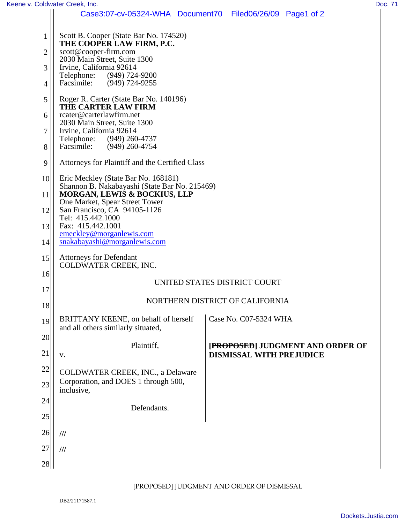| Keene v. Coldwater Creek, Inc.<br>Doc. 71 |                                                                                      |                                  |  |
|-------------------------------------------|--------------------------------------------------------------------------------------|----------------------------------|--|
|                                           | Case3:07-cv-05324-WHA Document70 Filed06/26/09 Page1 of 2                            |                                  |  |
| 1                                         | Scott B. Cooper (State Bar No. 174520)<br>THE COOPER LAW FIRM, P.C.                  |                                  |  |
| 2                                         | scott@cooper-firm.com                                                                |                                  |  |
| 3                                         | 2030 Main Street, Suite 1300<br>Irvine, California 92614                             |                                  |  |
| 4                                         | (949) 724-9200<br>Telephone:<br>Facsimile:<br>$(949)$ 724-9255                       |                                  |  |
| 5                                         | Roger R. Carter (State Bar No. 140196)<br>THE CARTER LAW FIRM                        |                                  |  |
| 6                                         | rcater@carterlawfirm.net<br>2030 Main Street, Suite 1300                             |                                  |  |
| 7                                         | Irvine, California 92614                                                             |                                  |  |
| 8                                         | Telephone:<br>(949) 260-4737<br>Facsimile:<br>$(949)$ 260-4754                       |                                  |  |
| 9                                         | Attorneys for Plaintiff and the Certified Class                                      |                                  |  |
| 10 <sup>1</sup>                           | Eric Meckley (State Bar No. 168181)<br>Shannon B. Nakabayashi (State Bar No. 215469) |                                  |  |
| 11                                        | MORGAN, LEWIS & BOCKIUS, LLP                                                         |                                  |  |
| 12                                        | One Market, Spear Street Tower<br>San Francisco, CA 94105-1126                       |                                  |  |
| 13                                        | Tel: 415.442.1000<br>Fax: 415.442.1001                                               |                                  |  |
| 14                                        | emeckley@morganlewis.com<br>snakabayashi@morganlewis.com                             |                                  |  |
| 15                                        | <b>Attorneys for Defendant</b>                                                       |                                  |  |
|                                           | COLDWATER CREEK, INC.                                                                |                                  |  |
| 16                                        | UNITED STATES DISTRICT COURT                                                         |                                  |  |
| 17                                        | NORTHERN DISTRICT OF CALIFORNIA                                                      |                                  |  |
| 18                                        |                                                                                      |                                  |  |
| 19                                        | BRITTANY KEENE, on behalf of herself<br>and all others similarly situated,           | Case No. C07-5324 WHA            |  |
| 20                                        | Plaintiff,                                                                           | [PROPOSED] JUDGMENT AND ORDER OF |  |
| 21                                        | ${\bf V}$ .                                                                          | <b>DISMISSAL WITH PREJUDICE</b>  |  |
| 22                                        | COLDWATER CREEK, INC., a Delaware                                                    |                                  |  |
| 23                                        | Corporation, and DOES 1 through 500,<br>inclusive,                                   |                                  |  |
| 24                                        | Defendants.                                                                          |                                  |  |
| 25                                        |                                                                                      |                                  |  |
| 26                                        | $^{\prime\prime\prime}$                                                              |                                  |  |
| 27                                        | $^{\prime\prime\prime}$                                                              |                                  |  |
| 28                                        |                                                                                      |                                  |  |